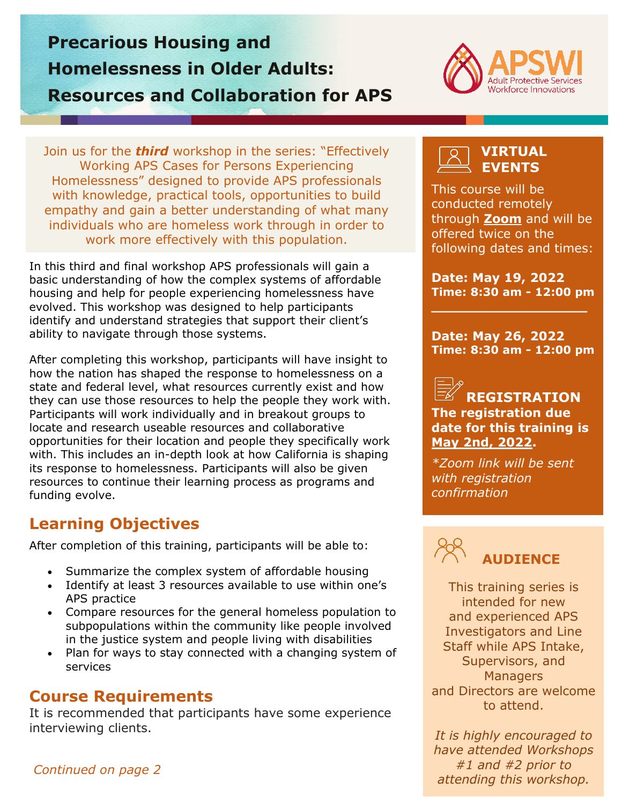# **Precarious Housing and Homelessness in Older Adults: Resources and Collaboration for APS**



Join us for the *third* workshop in the series: "Effectively Working APS Cases for Persons Experiencing Homelessness" designed to provide APS professionals with knowledge, practical tools, opportunities to build empathy and gain a better understanding of what many individuals who are homeless work through in order to work more effectively with this population.

In this third and final workshop APS professionals will gain a basic understanding of how the complex systems of affordable housing and help for people experiencing homelessness have evolved. This workshop was designed to help participants identify and understand strategies that support their client's ability to navigate through those systems.

After completing this workshop, participants will have insight to how the nation has shaped the response to homelessness on a state and federal level, what resources currently exist and how they can use those resources to help the people they work with. Participants will work individually and in breakout groups to locate and research useable resources and collaborative opportunities for their location and people they specifically work with. This includes an in-depth look at how California is shaping its response to homelessness. Participants will also be given resources to continue their learning process as programs and funding evolve.

## **Learning Objectives**

After completion of this training, participants will be able to:

- Summarize the complex system of affordable housing
- Identify at least 3 resources available to use within one's APS practice
- Compare resources for the general homeless population to subpopulations within the community like people involved in the justice system and people living with disabilities
- Plan for ways to stay connected with a changing system of services

#### **Course Requirements**

It is recommended that participants have some experience interviewing clients.

#### **VIRTUAL EVENTS**

This course will be conducted remotely through **[Zoom](https://zoom.us/)** and will be offered twice on the following dates and times:

**Date: May 19, 2022 Time: 8:30 am - 12:00 pm**

**\_\_\_\_\_\_\_\_\_\_\_\_\_\_\_\_\_\_**

**Date: May 26, 2022 Time: 8:30 am - 12:00 pm**

#### **REGISTRATION The registration due date for this training is May 2nd, 2022.**

*\*Zoom link will be sent with registration confirmation*



This training series is intended for new and experienced APS Investigators and Line Staff while APS Intake, Supervisors, and **Managers** and Directors are welcome to attend.

*It is highly encouraged to have attended Workshops #1 and #2 prior to attending this workshop.*

*Continued on page 2*